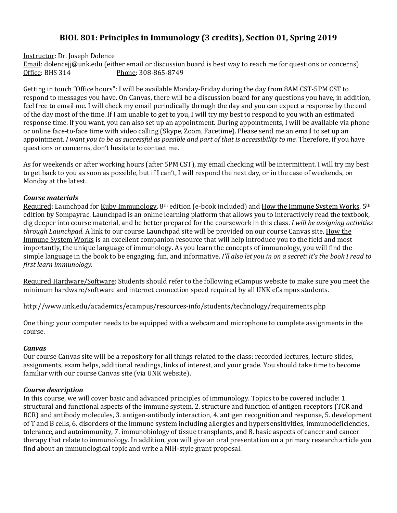# **BIOL 801: Principles in Immunology (3 credits), Section 01, Spring 2019**

Instructor: Dr. Joseph Dolence

Email: dolencejj@unk.edu (either email or discussion board is best way to reach me for questions or concerns) Office: BHS 314 Phone: 308-865-8749

Getting in touch "Office hours": I will be available Monday-Friday during the day from 8AM CST-5PM CST to respond to messages you have. On Canvas, there will be a discussion board for any questions you have, in addition, feel free to email me. I will check my email periodically through the day and you can expect a response by the end of the day most of the time. If I am unable to get to you, I will try my best to respond to you with an estimated response time. If you want, you can also set up an appointment. During appointments, I will be available via phone or online face-to-face time with video calling (Skype, Zoom, Facetime). Please send me an email to set up an appointment. I want you to be as successful as possible and part of that is accessibility to me. Therefore, if you have questions or concerns, don't hesitate to contact me.

As for weekends or after working hours (after 5PM CST), my email checking will be intermittent. I will try my best to get back to you as soon as possible, but if I can't, I will respond the next day, or in the case of weekends, on Monday at the latest.

# *Course materials*

Required: Launchpad for Kuby Immunology, 8<sup>th</sup> edition (e-book included) and How the Immune System Works, 5<sup>th</sup> edition by Sompayrac. Launchpad is an online learning platform that allows you to interactively read the textbook, dig deeper into course material, and be better prepared for the coursework in this class. I will be assigning activities *through Launchpad*. A link to our course Launchpad site will be provided on our course Canvas site. How the Immune System Works is an excellent companion resource that will help introduce you to the field and most importantly, the unique language of immunology. As you learn the concepts of immunology, you will find the simple language in the book to be engaging, fun, and informative. *I'll also let you in on a secret: it's the book I read to first learn immunology.*

Required Hardware/Software: Students should refer to the following eCampus website to make sure you meet the minimum hardware/software and internet connection speed required by all UNK eCampus students.

http://www.unk.edu/academics/ecampus/resources-info/students/technology/requirements.php

One thing: your computer needs to be equipped with a webcam and microphone to complete assignments in the course.

# *Canvas*

Our course Canvas site will be a repository for all things related to the class: recorded lectures, lecture slides, assignments, exam helps, additional readings, links of interest, and your grade. You should take time to become familiar with our course Canvas site (via UNK website).

# *Course description*

In this course, we will cover basic and advanced principles of immunology. Topics to be covered include: 1. structural and functional aspects of the immune system, 2. structure and function of antigen receptors (TCR and BCR) and antibody molecules, 3. antigen-antibody interaction, 4. antigen recognition and response, 5. development of T and B cells, 6. disorders of the immune system including allergies and hypersensitivities, immunodeficiencies, tolerance, and autoimmunity, 7. immunobiology of tissue transplants, and 8. basic aspects of cancer and cancer therapy that relate to immunology. In addition, you will give an oral presentation on a primary research article you find about an immunological topic and write a NIH-style grant proposal.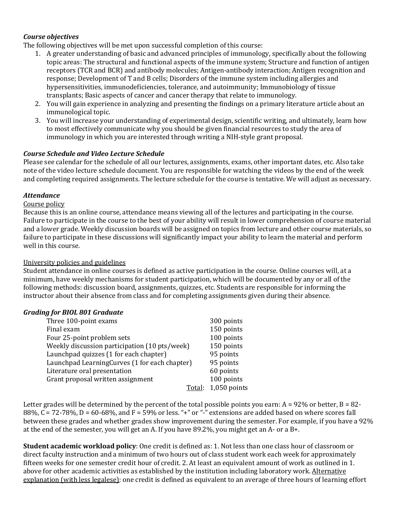# *Course objectives*

The following objectives will be met upon successful completion of this course:

- 1. A greater understanding of basic and advanced principles of immunology, specifically about the following topic areas: The structural and functional aspects of the immune system; Structure and function of antigen receptors (TCR and BCR) and antibody molecules; Antigen-antibody interaction; Antigen recognition and response; Development of T and B cells; Disorders of the immune system including allergies and hypersensitivities, immunodeficiencies, tolerance, and autoimmunity; Immunobiology of tissue transplants; Basic aspects of cancer and cancer therapy that relate to immunology.
- 2. You will gain experience in analyzing and presenting the findings on a primary literature article about an immunological topic.
- 3. You will increase your understanding of experimental design, scientific writing, and ultimately, learn how to most effectively communicate why you should be given financial resources to study the area of immunology in which you are interested through writing a NIH-style grant proposal.

### *Course Schedule and Video Lecture Schedule*

Please see calendar for the schedule of all our lectures, assignments, exams, other important dates, etc. Also take note of the video lecture schedule document. You are responsible for watching the videos by the end of the week and completing required assignments. The lecture schedule for the course is tentative. We will adjust as necessary.

### *Attendance*

### Course policy

Because this is an online course, attendance means viewing all of the lectures and participating in the course. Failure to participate in the course to the best of your ability will result in lower comprehension of course material and a lower grade. Weekly discussion boards will be assigned on topics from lecture and other course materials, so failure to participate in these discussions will significantly impact your ability to learn the material and perform well in this course.

#### University policies and guidelines

Student attendance in online courses is defined as active participation in the course. Online courses will, at a minimum, have weekly mechanisms for student participation, which will be documented by any or all of the following methods: discussion board, assignments, quizzes, etc. Students are responsible for informing the instructor about their absence from class and for completing assignments given during their absence.

#### *Grading for BIOL 801 Graduate*

| Three 100-point exams                         | 300 points     |
|-----------------------------------------------|----------------|
| Final exam                                    | 150 points     |
| Four 25-point problem sets                    | 100 points     |
| Weekly discussion participation (10 pts/week) | 150 points     |
| Launchpad quizzes (1 for each chapter)        | 95 points      |
| Launchpad LearningCurves (1 for each chapter) | 95 points      |
| Literature oral presentation                  | 60 points      |
| Grant proposal written assignment             | 100 points     |
| Total:                                        | $1,050$ points |

Letter grades will be determined by the percent of the total possible points you earn:  $A = 92\%$  or better,  $B = 82$ -88%,  $C = 72-78$ %,  $D = 60-68$ %, and  $F = 59$ % or less. "+" or "-" extensions are added based on where scores fall between these grades and whether grades show improvement during the semester. For example, if you have a 92% at the end of the semester, you will get an A. If you have  $89.2\%$ , you might get an A- or a B+.

**Student academic workload policy**: One credit is defined as: 1. Not less than one class hour of classroom or direct faculty instruction and a minimum of two hours out of class student work each week for approximately fifteen weeks for one semester credit hour of credit. 2. At least an equivalent amount of work as outlined in 1. above for other academic activities as established by the institution including laboratory work. Alternative explanation (with less legalese): one credit is defined as equivalent to an average of three hours of learning effort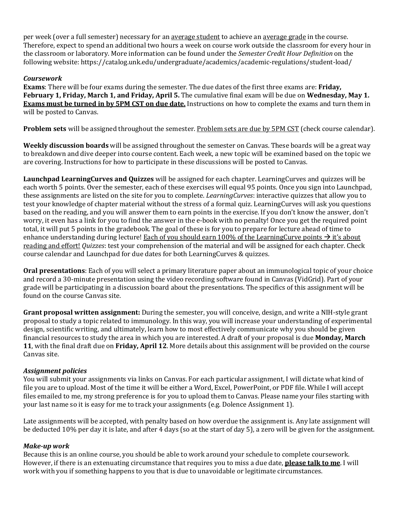per week (over a full semester) necessary for an average student to achieve an average grade in the course. Therefore, expect to spend an additional two hours a week on course work outside the classroom for every hour in the classroom or laboratory. More information can be found under the *Semester Credit Hour Definition* on the following website: https://catalog.unk.edu/undergraduate/academics/academic-regulations/student-load/

# *Coursework*

**Exams**: There will be four exams during the semester. The due dates of the first three exams are: **Friday**, **February 1, Friday, March 1, and Friday, April 5.** The cumulative final exam will be due on **Wednesday, May 1. Exams must be turned in by 5PM CST on due date.** Instructions on how to complete the exams and turn them in will be posted to Canvas.

**Problem sets** will be assigned throughout the semester. Problem sets are due by 5PM CST (check course calendar).

**Weekly discussion boards** will be assigned throughout the semester on Canvas. These boards will be a great way to breakdown and dive deeper into course content. Each week, a new topic will be examined based on the topic we are covering. Instructions for how to participate in these discussions will be posted to Canvas.

**Launchpad LearningCurves and Quizzes** will be assigned for each chapter. LearningCurves and quizzes will be each worth 5 points. Over the semester, each of these exercises will equal 95 points. Once you sign into Launchpad, these assignments are listed on the site for you to complete. *LearningCurves*: interactive quizzes that allow you to test your knowledge of chapter material without the stress of a formal quiz. LearningCurves will ask you questions based on the reading, and you will answer them to earn points in the exercise. If you don't know the answer, don't worry, it even has a link for you to find the answer in the e-book with no penalty! Once you get the required point total, it will put 5 points in the gradebook. The goal of these is for you to prepare for lecture ahead of time to enhance understanding during lecture! Each of you should earn 100% of the LearningCurve points  $\rightarrow$  it's about reading and effort! *Quizzes*: test your comprehension of the material and will be assigned for each chapter. Check course calendar and Launchpad for due dates for both LearningCurves & quizzes.

**Oral presentations**: Each of you will select a primary literature paper about an immunological topic of your choice and record a 30-minute presentation using the video recording software found in Canvas (VidGrid). Part of your grade will be participating in a discussion board about the presentations. The specifics of this assignment will be found on the course Canvas site.

**Grant proposal written assignment:** During the semester, you will conceive, design, and write a NIH-style grant proposal to study a topic related to immunology. In this way, you will increase your understanding of experimental design, scientific writing, and ultimately, learn how to most effectively communicate why you should be given financial resources to study the area in which you are interested. A draft of your proposal is due **Monday, March 11**, with the final draft due on **Friday, April 12**. More details about this assignment will be provided on the course Canvas site.

# *Assignment policies*

You will submit your assignments via links on Canvas. For each particular assignment, I will dictate what kind of file you are to upload. Most of the time it will be either a Word, Excel, PowerPoint, or PDF file. While I will accept files emailed to me, my strong preference is for you to upload them to Canvas. Please name your files starting with your last name so it is easy for me to track your assignments (e.g. Dolence Assignment 1).

Late assignments will be accepted, with penalty based on how overdue the assignment is. Any late assignment will be deducted 10% per day it is late, and after 4 days (so at the start of day 5), a zero will be given for the assignment.

# *Make-up work*

Because this is an online course, you should be able to work around your schedule to complete coursework. However, if there is an extenuating circumstance that requires you to miss a due date, **please talk to me**. I will work with you if something happens to you that is due to unavoidable or legitimate circumstances.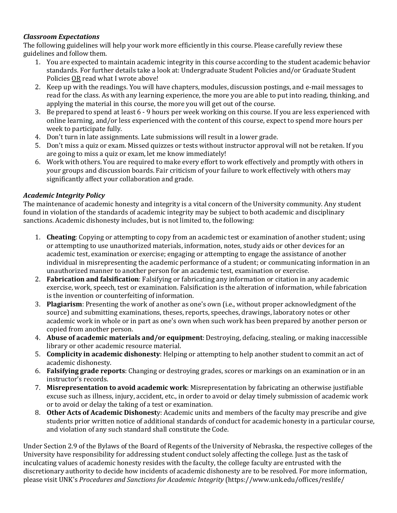# *Classroom Expectations*

The following guidelines will help your work more efficiently in this course. Please carefully review these guidelines and follow them.

- 1. You are expected to maintain academic integrity in this course according to the student academic behavior standards. For further details take a look at: Undergraduate Student Policies and/or Graduate Student Policies OR read what I wrote above!
- 2. Keep up with the readings. You will have chapters, modules, discussion postings, and e-mail messages to read for the class. As with any learning experience, the more you are able to put into reading, thinking, and applying the material in this course, the more you will get out of the course.
- 3. Be prepared to spend at least  $6 9$  hours per week working on this course. If you are less experienced with online learning, and/or less experienced with the content of this course, expect to spend more hours per week to participate fully.
- 4. Don't turn in late assignments. Late submissions will result in a lower grade.
- 5. Don't miss a quiz or exam. Missed quizzes or tests without instructor approval will not be retaken. If you are going to miss a quiz or exam, let me know immediately!
- 6. Work with others. You are required to make every effort to work effectively and promptly with others in your groups and discussion boards. Fair criticism of your failure to work effectively with others may significantly affect your collaboration and grade.

# *Academic Integrity Policy*

The maintenance of academic honesty and integrity is a vital concern of the University community. Any student found in violation of the standards of academic integrity may be subject to both academic and disciplinary sanctions. Academic dishonesty includes, but is not limited to, the following:

- 1. **Cheating**: Copying or attempting to copy from an academic test or examination of another student; using or attempting to use unauthorized materials, information, notes, study aids or other devices for an academic test, examination or exercise; engaging or attempting to engage the assistance of another individual in misrepresenting the academic performance of a student; or communicating information in an unauthorized manner to another person for an academic test, examination or exercise.
- 2. **Fabrication and falsification**: Falsifying or fabricating any information or citation in any academic exercise, work, speech, test or examination. Falsification is the alteration of information, while fabrication is the invention or counterfeiting of information.
- 3. **Plagiarism**: Presenting the work of another as one's own (i.e., without proper acknowledgment of the source) and submitting examinations, theses, reports, speeches, drawings, laboratory notes or other academic work in whole or in part as one's own when such work has been prepared by another person or copied from another person.
- 4. **Abuse of academic materials and/or equipment**: Destroying, defacing, stealing, or making inaccessible library or other academic resource material.
- 5. **Complicity in academic dishonesty**: Helping or attempting to help another student to commit an act of academic dishonesty.
- 6. **Falsifying grade reports**: Changing or destroying grades, scores or markings on an examination or in an instructor's records.
- 7. **Misrepresentation to avoid academic work**: Misrepresentation by fabricating an otherwise justifiable excuse such as illness, injury, accident, etc., in order to avoid or delay timely submission of academic work or to avoid or delay the taking of a test or examination.
- 8. **Other Acts of Academic Dishonest**y: Academic units and members of the faculty may prescribe and give students prior written notice of additional standards of conduct for academic honesty in a particular course, and violation of any such standard shall constitute the Code.

Under Section 2.9 of the Bylaws of the Board of Regents of the University of Nebraska, the respective colleges of the University have responsibility for addressing student conduct solely affecting the college. Just as the task of inculcating values of academic honesty resides with the faculty, the college faculty are entrusted with the discretionary authority to decide how incidents of academic dishonesty are to be resolved. For more information, please visit UNK's Procedures and Sanctions for Academic Integrity (https://www.unk.edu/offices/reslife/